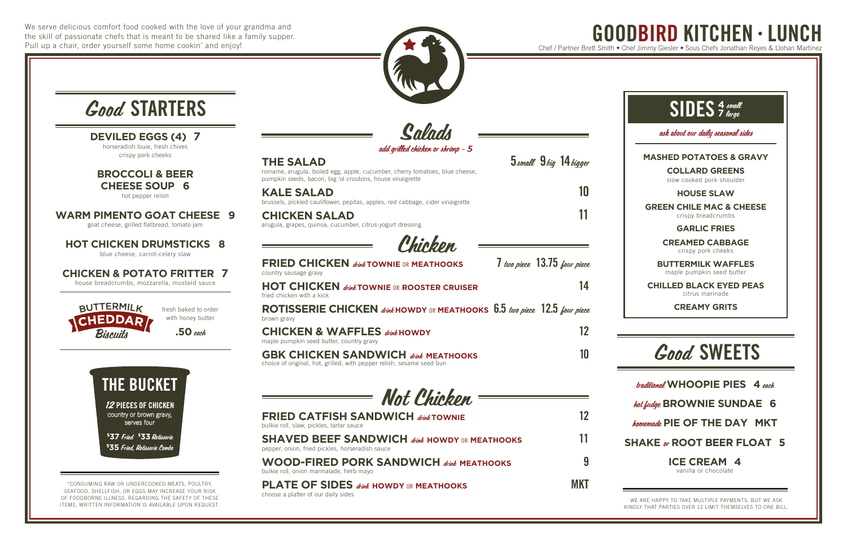We serve delicious comfort food cooked with the love of your grandma and the skill of passionate chefs that is meant to be shared like a family supper. Pull up a chair, order yourself some home cookin' and enjoy!





traditional **WHOOPIE PIES 4** each

#### hot fudge **BROWNIE SUNDAE 6**

homemade **PIE OF THE DAY MKT**

#### **SHAKE** or **ROOT BEER FLOAT 5**

#### **ICE CREAM 4**

vanilla or chocolate

## Good SWEETS

ask about our daily seasonal sides

#### **MASHED POTATOES & GRAVY**

**COLLARD GREENS**

slow cooked pork shoulder

#### **HOUSE SLAW**

**KALE SALAD** 10 brussels, pickled cauliflower, pepitas, apples, red cabbage, cider vinaigrette

**GREEN CHILE MAC & CHEESE** crispy breadcrumbs

**CHICKEN SALAD** 11 arugula, grapes, quinoa, cucumber, citrus-yogurt dressing

#### **GARLIC FRIES**

**CREAMED CABBAGE** crispy pork cheeks

**BUTTERMILK WAFFLES** maple pumpkin seed butter

**CHILLED BLACK EYED PEAS** citrus marinade

**CREAMY GRITS**

Salads

add grilled chicken or shrimp - 5

**THE SALAD** 5 and 5 and 5 and 5 and 5 and 5 and 5 and 5 and 5 and 5 and 5 and 5 and 5 and 5 and 5 and 5 and 5 and 5 and 5 and 5 and 5 and 5 and 5 and 5 and 5 and 5 and 5 and 5 and 5 and 5 and 5 and 5 and 5 and 5 and 5 and

romaine, arugula, boiled egg, apple, cucumber, cherry tomatoes, blue cheese, pumpkin seeds, bacon, big 'ol croutons, house vinaigrette

Chicken

GOODBIRD KITCHEN • LUNCH Chef / Partner Brett Smith • Chef Jimmy Giesler • Sous Chefs Jonathan Reyes & Llohan Mar

| <b>FRIED CHICKEN</b> <i>dink</i> TOWNIE OR MEATHOOKS<br>country sausage gravy                                       | 7 two piece 13.75 four piece |
|---------------------------------------------------------------------------------------------------------------------|------------------------------|
| <b>HOT CHICKEN dight TOWNIE OR ROOSTER CRUISER</b><br>fried chicken with a kick                                     | 14                           |
| ROTISSERIE CHICKEN drink HOWDY OR MEATHOOKS 6.5 two piece 12.5 four piece<br>brown gravy                            |                              |
| <b>CHICKEN &amp; WAFFLES dink HOWDY</b><br>maple pumpkin seed butter, country gravy                                 |                              |
| <b>GBK CHICKEN SANDWICH dink MEATHOOKS</b><br>choice of original, hot, grilled, with pepper relish, sesame seed bun | 10                           |

**12 PIECES OF CHICKEN** country or brown gravy, serves four

Not Chicken

| <b>FRIED CATFISH SANDWICH dink TOWNIE</b><br>bulkie roll, slaw, pickles, tartar sauce            |            |
|--------------------------------------------------------------------------------------------------|------------|
| SHAVED BEEF SANDWICH direk howdy or meathooks<br>pepper, onion, fried pickles, horseradish sauce | 11         |
| <b>WOOD-FIRED PORK SANDWICH dink MEATHOOKS</b><br>bulkie roll, onion marmalade, herb mayo        | 9          |
| <b>PLATE OF SIDES</b> drink HOWDY OR MEATHOOKS                                                   | <b>MKT</b> |

choose a platter of our daily sides



## Good STARTERS

**DEVILED EGGS (4) 7** horseradish louie, fresh chives crispy pork cheeks

**BROCCOLI & BEER CHEESE SOUP 6**

hot pepper relish

**WARM PIMENTO GOAT CHEESE 9**

goat cheese, grilled flatbread, tomato jam

**HOT CHICKEN DRUMSTICKS 8**

blue cheese, carrot-celery slaw

**CHICKEN & POTATO FRITTER 7**

house breadcrumbs, mozzarella, mustard sauce

\*CONSUMING RAW OR UNDERCOOKED MEATS, POULTRY, SEAFOOD, SHELLFISH, OR EGGS MAY INCREASE YOUR RISK OF FOODBORNE ILLNESS. REGARDING THE SAFETY OF THESE ITEMS, WRITTEN INFORMATION IS AVAILABLE UPON REQUEST.

WE ARE HAPPY TO TAKE MULTIPLE PAYMENTS, BUT WE ASK KINDLY THAT PARTIES OVER 12 LIMIT THEMSELVES TO ONE BILL.

# THE BUCKET

**\$ 37** Fried **\$ 33**Rotisserie **\$ 35** Fried, Rotisserie Combo